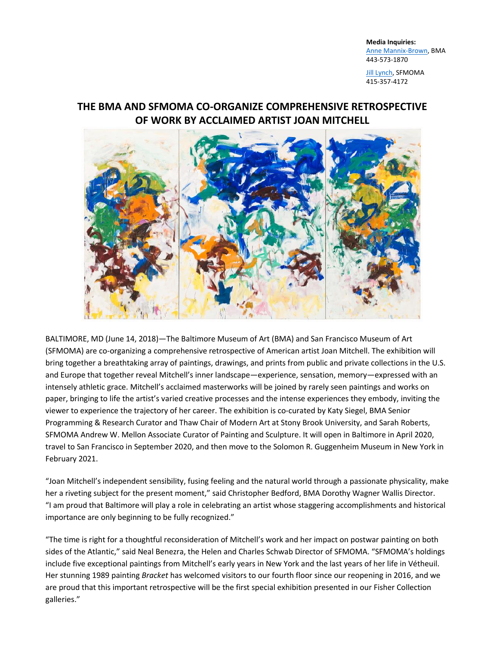**Media Inquiries:** [Anne Mannix-Brown,](mailto:abrown@artbma.org) BMA 443-573-1870

[Jill Lynch,](mailto:jlynch@sfmoma.org) SFMOMA 415-357-4172

# **THE BMA AND SFMOMA CO-ORGANIZE COMPREHENSIVE RETROSPECTIVE OF WORK BY ACCLAIMED ARTIST JOAN MITCHELL**



BALTIMORE, MD (June 14, 2018)—The Baltimore Museum of Art (BMA) and San Francisco Museum of Art (SFMOMA) are co-organizing a comprehensive retrospective of American artist Joan Mitchell. The exhibition will bring together a breathtaking array of paintings, drawings, and prints from public and private collections in the U.S. and Europe that together reveal Mitchell's inner landscape—experience, sensation, memory—expressed with an intensely athletic grace. Mitchell's acclaimed masterworks will be joined by rarely seen paintings and works on paper, bringing to life the artist's varied creative processes and the intense experiences they embody, inviting the viewer to experience the trajectory of her career. The exhibition is co-curated by Katy Siegel, BMA Senior Programming & Research Curator and Thaw Chair of Modern Art at Stony Brook University, and Sarah Roberts, SFMOMA Andrew W. Mellon Associate Curator of Painting and Sculpture. It will open in Baltimore in April 2020, travel to San Francisco in September 2020, and then move to the Solomon R. Guggenheim Museum in New York in February 2021.

"Joan Mitchell's independent sensibility, fusing feeling and the natural world through a passionate physicality, make her a riveting subject for the present moment," said Christopher Bedford, BMA Dorothy Wagner Wallis Director. "I am proud that Baltimore will play a role in celebrating an artist whose staggering accomplishments and historical importance are only beginning to be fully recognized."

"The time is right for a thoughtful reconsideration of Mitchell's work and her impact on postwar painting on both sides of the Atlantic," said Neal Benezra, the Helen and Charles Schwab Director of SFMOMA. "SFMOMA's holdings include five exceptional paintings from Mitchell's early years in New York and the last years of her life in Vétheuil. Her stunning 1989 painting *Bracket* has welcomed visitors to our fourth floor since our reopening in 2016, and we are proud that this important retrospective will be the first special exhibition presented in our Fisher Collection galleries."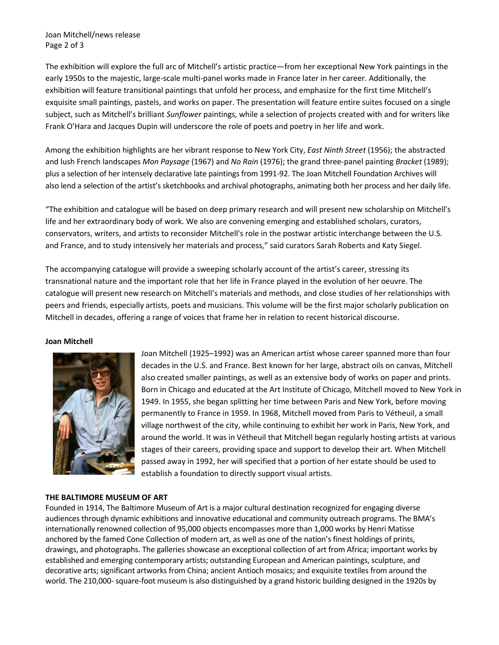Joan Mitchell/news release Page 2 of 3

The exhibition will explore the full arc of Mitchell's artistic practice—from her exceptional New York paintings in the early 1950s to the majestic, large-scale multi-panel works made in France later in her career. Additionally, the exhibition will feature transitional paintings that unfold her process, and emphasize for the first time Mitchell's exquisite small paintings, pastels, and works on paper. The presentation will feature entire suites focused on a single subject, such as Mitchell's brilliant *Sunflower* paintings, while a selection of projects created with and for writers like Frank O'Hara and Jacques Dupin will underscore the role of poets and poetry in her life and work.

Among the exhibition highlights are her vibrant response to New York City, *East Ninth Street* (1956); the abstracted and lush French landscapes *Mon Paysage* (1967) and *No Rain* (1976); the grand three-panel painting *Bracket* (1989); plus a selection of her intensely declarative late paintings from 1991-92. The Joan Mitchell Foundation Archives will also lend a selection of the artist's sketchbooks and archival photographs, animating both her process and her daily life.

"The exhibition and catalogue will be based on deep primary research and will present new scholarship on Mitchell's life and her extraordinary body of work. We also are convening emerging and established scholars, curators, conservators, writers, and artists to reconsider Mitchell's role in the postwar artistic interchange between the U.S. and France, and to study intensively her materials and process," said curators Sarah Roberts and Katy Siegel.

The accompanying catalogue will provide a sweeping scholarly account of the artist's career, stressing its transnational nature and the important role that her life in France played in the evolution of her oeuvre. The catalogue will present new research on Mitchell's materials and methods, and close studies of her relationships with peers and friends, especially artists, poets and musicians. This volume will be the first major scholarly publication on Mitchell in decades, offering a range of voices that frame her in relation to recent historical discourse.

#### **Joan Mitchell**



Joan Mitchell (1925–1992) was an American artist whose career spanned more than four decades in the U.S. and France. Best known for her large, abstract oils on canvas, Mitchell also created smaller paintings, as well as an extensive body of works on paper and prints. Born in Chicago and educated at the Art Institute of Chicago, Mitchell moved to New York in 1949. In 1955, she began splitting her time between Paris and New York, before moving permanently to France in 1959. In 1968, Mitchell moved from Paris to Vétheuil, a small village northwest of the city, while continuing to exhibit her work in Paris, New York, and around the world. It was in Vétheuil that Mitchell began regularly hosting artists at various stages of their careers, providing space and support to develop their art. When Mitchell passed away in 1992, her will specified that a portion of her estate should be used to establish a foundation to directly support visual artists.

### **THE BALTIMORE MUSEUM OF ART**

Founded in 1914, The Baltimore Museum of Art is a major cultural destination recognized for engaging diverse audiences through dynamic exhibitions and innovative educational and community outreach programs. The BMA's internationally renowned collection of 95,000 objects encompasses more than 1,000 works by Henri Matisse anchored by the famed Cone Collection of modern art, as well as one of the nation's finest holdings of prints, drawings, and photographs. The galleries showcase an exceptional collection of art from Africa; important works by established and emerging contemporary artists; outstanding European and American paintings, sculpture, and decorative arts; significant artworks from China; ancient Antioch mosaics; and exquisite textiles from around the world. The 210,000- square-foot museum is also distinguished by a grand historic building designed in the 1920s by